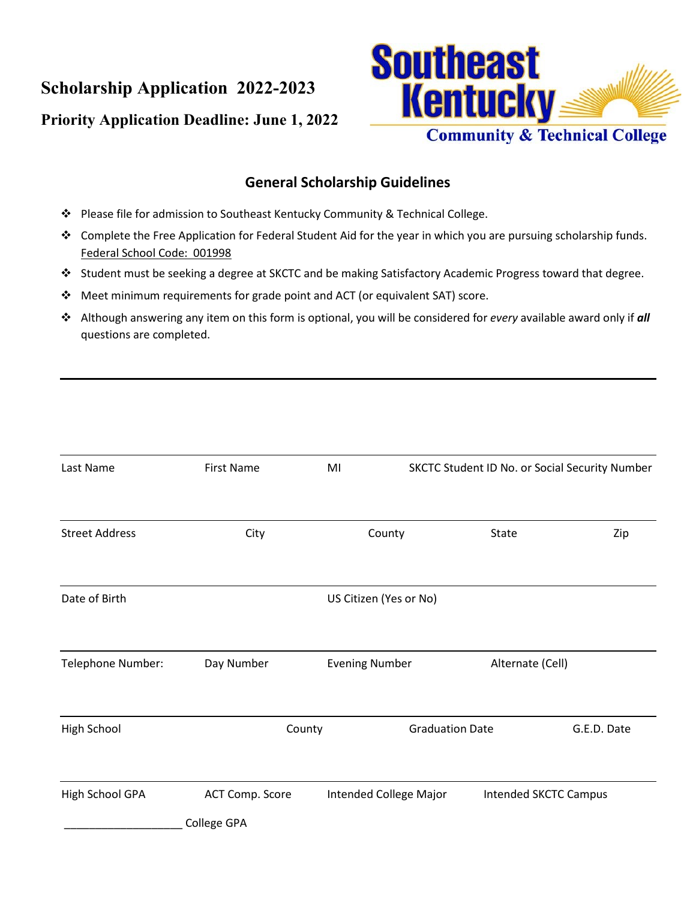**Scholarship Application 2022-2023** 

## **Priority Application Deadline: June 1, 2022**



## **General Scholarship Guidelines**

- Please file for admission to Southeast Kentucky Community & Technical College.
- Complete the Free Application for Federal Student Aid for the year in which you are pursuing scholarship funds. Federal School Code: 001998
- Student must be seeking a degree at SKCTC and be making Satisfactory Academic Progress toward that degree.
- Meet minimum requirements for grade point and ACT (or equivalent SAT) score.
- Although answering any item on this form is optional, you will be considered for *every* available award only if *all* questions are completed.

| Last Name             | <b>First Name</b> | MI                     | SKCTC Student ID No. or Social Security Number |                              |
|-----------------------|-------------------|------------------------|------------------------------------------------|------------------------------|
| <b>Street Address</b> | City              | County                 | State                                          | Zip                          |
| Date of Birth         |                   | US Citizen (Yes or No) |                                                |                              |
| Telephone Number:     | Day Number        | <b>Evening Number</b>  | Alternate (Cell)                               |                              |
| <b>High School</b>    | County            |                        | <b>Graduation Date</b>                         | G.E.D. Date                  |
| High School GPA       | ACT Comp. Score   | Intended College Major |                                                | <b>Intended SKCTC Campus</b> |
|                       | College GPA       |                        |                                                |                              |